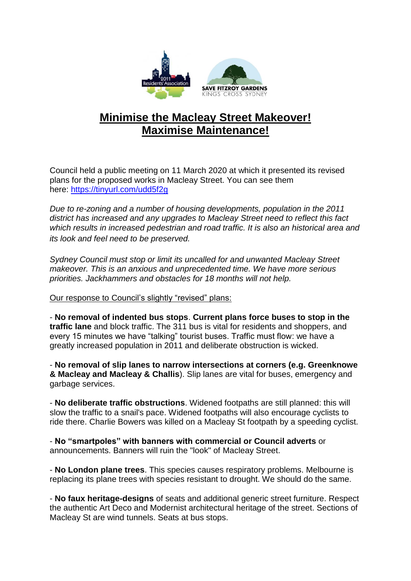

## **Minimise the Macleay Street Makeover! Maximise Maintenance!**

Council held a public meeting on 11 March 2020 at which it presented its revised plans for the proposed works in Macleay Street. You can see them here: <https://tinyurl.com/udd5f2g>

*Due to re-zoning and a number of housing developments, population in the 2011 district has increased and any upgrades to Macleay Street need to reflect this fact which results in increased pedestrian and road traffic. It is also an historical area and its look and feel need to be preserved.*

*Sydney Council must stop or limit its uncalled for and unwanted Macleay Street makeover. This is an anxious and unprecedented time. We have more serious priorities. Jackhammers and obstacles for 18 months will not help.* 

Our response to Council's slightly "revised" plans:

- **No removal of indented bus stops**. **Current plans force buses to stop in the traffic lane** and block traffic. The 311 bus is vital for residents and shoppers, and every 15 minutes we have "talking" tourist buses. Traffic must flow: we have a greatly increased population in 2011 and deliberate obstruction is wicked.

- **No removal of slip lanes to narrow intersections at corners (e.g. Greenknowe & Macleay and Macleay & Challis**). Slip lanes are vital for buses, emergency and garbage services.

- **No deliberate traffic obstructions**. Widened footpaths are still planned: this will slow the traffic to a snail's pace. Widened footpaths will also encourage cyclists to ride there. Charlie Bowers was killed on a Macleay St footpath by a speeding cyclist.

- **No "smartpoles" with banners with commercial or Council adverts** or announcements. Banners will ruin the "look" of Macleay Street.

- **No London plane trees**. This species causes respiratory problems. Melbourne is replacing its plane trees with species resistant to drought. We should do the same.

- **No faux heritage-designs** of seats and additional generic street furniture. Respect the authentic Art Deco and Modernist architectural heritage of the street. Sections of Macleay St are wind tunnels. Seats at bus stops.